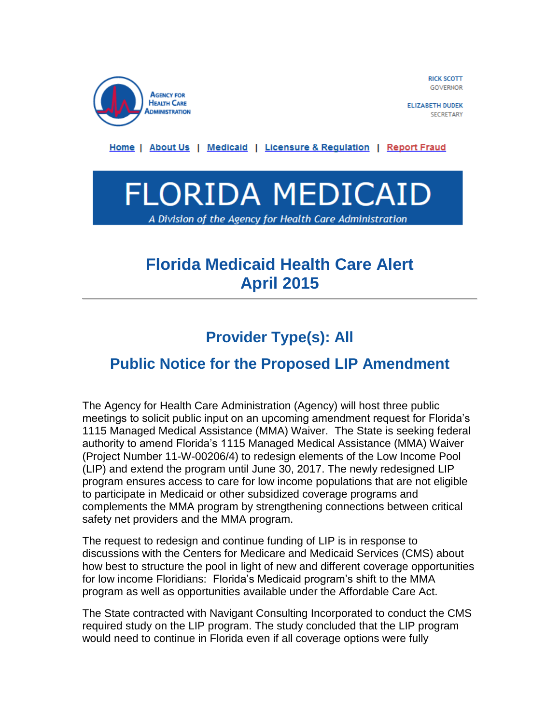

**RICK SCOTT GOVERNOR** 

**ELIZABETH DUDEK SECRETARY** 

Home | About Us | Medicaid | Licensure & Regulation | Report Fraud



# **Florida Medicaid Health Care Alert April 2015**

# **Provider Type(s): All**

## **Public Notice for the Proposed LIP Amendment**

The Agency for Health Care Administration (Agency) will host three public meetings to solicit public input on an upcoming amendment request for Florida's 1115 Managed Medical Assistance (MMA) Waiver. The State is seeking federal authority to amend Florida's 1115 Managed Medical Assistance (MMA) Waiver (Project Number 11-W-00206/4) to redesign elements of the Low Income Pool (LIP) and extend the program until June 30, 2017. The newly redesigned LIP program ensures access to care for low income populations that are not eligible to participate in Medicaid or other subsidized coverage programs and complements the MMA program by strengthening connections between critical safety net providers and the MMA program.

The request to redesign and continue funding of LIP is in response to discussions with the Centers for Medicare and Medicaid Services (CMS) about how best to structure the pool in light of new and different coverage opportunities for low income Floridians: Florida's Medicaid program's shift to the MMA program as well as opportunities available under the Affordable Care Act.

The State contracted with Navigant Consulting Incorporated to conduct the CMS required study on the LIP program. The study concluded that the LIP program would need to continue in Florida even if all coverage options were fully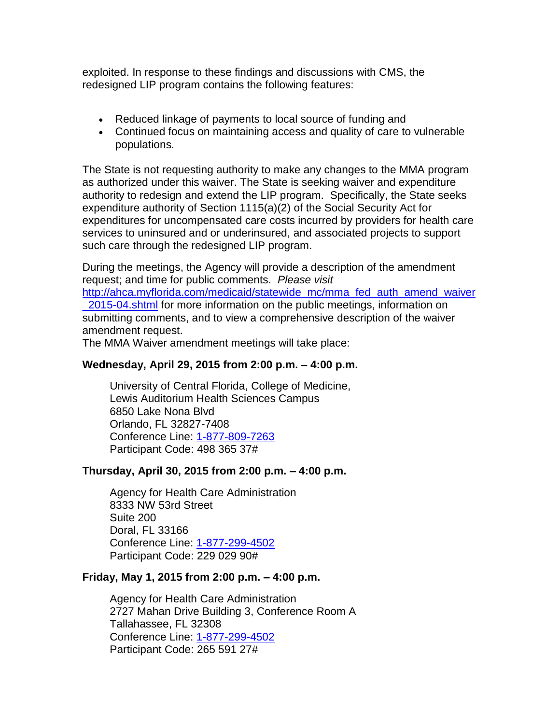exploited. In response to these findings and discussions with CMS, the redesigned LIP program contains the following features:

- Reduced linkage of payments to local source of funding and
- Continued focus on maintaining access and quality of care to vulnerable populations.

The State is not requesting authority to make any changes to the MMA program as authorized under this waiver. The State is seeking waiver and expenditure authority to redesign and extend the LIP program. Specifically, the State seeks expenditure authority of Section 1115(a)(2) of the Social Security Act for expenditures for uncompensated care costs incurred by providers for health care services to uninsured and or underinsured, and associated projects to support such care through the redesigned LIP program.

During the meetings, the Agency will provide a description of the amendment request; and time for public comments. *Please visit*  [http://ahca.myflorida.com/medicaid/statewide\\_mc/mma\\_fed\\_auth\\_amend\\_waiver](http://ahca.myflorida.com/medicaid/statewide_mc/mma_fed_auth_amend_waiver_2015-04.shtml) [\\_2015-04.shtml](http://ahca.myflorida.com/medicaid/statewide_mc/mma_fed_auth_amend_waiver_2015-04.shtml) for more information on the public meetings, information on submitting comments, and to view a comprehensive description of the waiver amendment request.

The MMA Waiver amendment meetings will take place:

### **Wednesday, April 29, 2015 from 2:00 p.m. – 4:00 p.m.**

University of Central Florida, College of Medicine, Lewis Auditorium Health Sciences Campus 6850 Lake Nona Blvd Orlando, FL 32827-7408 Conference Line: [1-877-809-7263](tel:1-877-809-7263) Participant Code: 498 365 37#

### **Thursday, April 30, 2015 from 2:00 p.m. – 4:00 p.m.**

Agency for Health Care Administration 8333 NW 53rd Street Suite 200 Doral, FL 33166 Conference Line: [1-877-299-4502](tel:1-877-299-4502) Participant Code: 229 029 90#

### **Friday, May 1, 2015 from 2:00 p.m. – 4:00 p.m.**

Agency for Health Care Administration 2727 Mahan Drive Building 3, Conference Room A Tallahassee, FL 32308 Conference Line: [1-877-299-4502](tel:1-877-299-4502) Participant Code: 265 591 27#